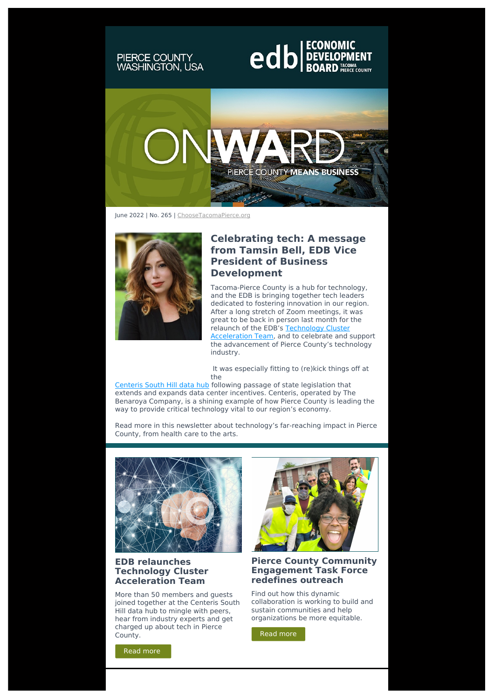# PIERCE COUNTY<br>WASHINGTON, USA

# **edb** BOARD PRECOPMENT



June 2022 | No. 265 | [ChooseTacomaPierce.org](http://edbtacomapierce.org/?utm_source=sendinblue&utm_campaign=EDB%20Onward%20June%202022&utm_medium=email)



#### **Celebrating tech: A message from Tamsin Bell, EDB Vice President of Business Development**

Tacoma-Pierce County is a hub for technology, and the EDB is bringing together tech leaders dedicated to fostering innovation in our region. After a long stretch of Zoom meetings, it was great to be back in person last month for the relaunch of the EDB's Technology Cluster **[Acceleration](https://choosetacomapierce.org/about-us/cluster-teams/technology-cluster-team/?utm_source=sendinblue&utm_campaign=EDB%20Onward%20June%202022&utm_medium=email) Team, and to celebrate and support** the advancement of Pierce County's technology industry.

It was especially fitting to (re)kick things off at the

[Centeris](http://www.benaroya.com/data-centers?utm_source=sendinblue&utm_campaign=EDB%20Onward%20June%202022&utm_medium=email) South Hill data hub following passage of state legislation that extends and expands data center incentives. Centeris, operated by The Benaroya Company, is a shining example of how Pierce County is leading the way to provide critical technology vital to our region's economy.

Read more in this newsletter about technology's far-reaching impact in Pierce County, from health care to the arts.



#### **EDB relaunches Technology Cluster Acceleration Team**

More than 50 members and guests joined together at the Centeris South Hill data hub to mingle with peers, hear from industry experts and get charged up about tech in Pierce County. **County** County.



#### **Pierce County Community Engagement Task Force redefines outreach**

Find out how this dynamic collaboration is working to build and sustain communities and help organizations be more equitable.

Read [more](https://choosetacomapierce.org/news-events/edb-relaunches-technology-cluster-acceleration-team/?utm_source=sendinblue&utm_campaign=EDB%20Onward%20June%202022&utm_medium=email)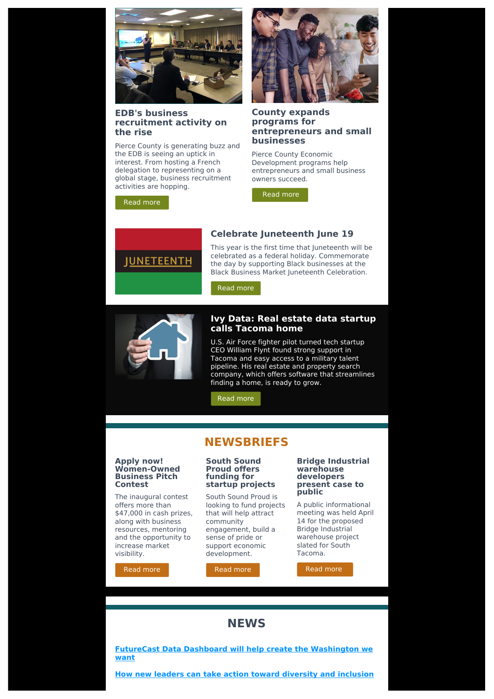

#### **EDB's business recruitment activity on the rise**

Pierce County is generating buzz and the EDB is seeing an uptick in interest. From hosting a French delegation to representing on a global stage, business recruitment activities are hopping.

#### **County expands programs for entrepreneurs and small businesses**

Pierce County Economic Development programs help entrepreneurs and small business owners succeed.

Read [more](https://choosetacomapierce.org/news-events/county-expands-programs-for-entrepreneurs-and-small-businesses/?utm_source=sendinblue&utm_campaign=EDB%20Onward%20June%202022&utm_medium=email)



Read [more](https://choosetacomapierce.org/news-events/business-recruitment-activity-on-the-rise/?utm_source=sendinblue&utm_campaign=EDB%20Onward%20June%202022&utm_medium=email)

#### **Celebrate Juneteenth June 19**

This year is the first time that Juneteenth will be celebrated as a federal holiday. Commemorate the day by supporting Black businesses at the Black Business Market Juneteenth Celebration.

Read [more](https://choosetacomapierce.org/news-events/celebrate-juneteenth-june-19/?utm_source=sendinblue&utm_campaign=EDB%20Onward%20June%202022&utm_medium=email)



#### **Ivy Data: Real estate data startup calls Tacoma home**

U.S. Air Force fighter pilot turned tech startup CEO William Flynt found strong support in Tacoma and easy access to a military talent pipeline. His real estate and property search company, which offers software that streamlines finding a home, is ready to grow.

Read [more](https://choosetacomapierce.org/news-events/ivy-data/?utm_source=sendinblue&utm_campaign=EDB%20Onward%20June%202022&utm_medium=email)

## **NEWSBRIEFS**

#### **Apply now! Women-Owned Business Pitch Contest**

The inaugural contest offers more than \$47,000 in cash prizes, along with business resources, mentoring and the opportunity to increase market visibility.

Read [more](https://choosetacomapierce.org/news-events/apply-now-2022-women-owned-business-pitch-contest/?utm_source=sendinblue&utm_campaign=EDB%20Onward%20June%202022&utm_medium=email)

#### **South Sound Proud offers funding for startup projects**

South Sound Proud is looking to fund projects that will help attract community engagement, build a sense of pride or support economic development.

# Read [more](https://choosetacomapierce.org/news-events/south-sound-proud-offers-funding-for-startup-projects/?utm_source=sendinblue&utm_campaign=EDB%20Onward%20June%202022&utm_medium=email)

#### **Bridge Industrial warehouse developers present case to public**

A public informational meeting was held April 14 for the proposed Bridge Industrial warehouse project slated for South Tacoma.

Read [more](https://tacomaweekly.com/warehouse-developers-present-their-case-at-public-meeting-p3122-117.htm?utm_source=sendinblue&utm_campaign=EDB%20Onward%20June%202022&utm_medium=email)

### **NEWS**

**FutureCast Data Dashboard will help create the [Washington](https://www.southsoundbiz.com/opinion/opinion-futurecast-data-dashboard-will-help-us-create-the-washington-we-want/article_7e08d3f2-e291-11ec-aba2-574b0cfa2eac.html?utm_source=sendinblue&utm_campaign=EDB%20Onward%20June%202022&utm_medium=email) we want**

**How new leaders can take action toward diversity and [inclusion](https://www.forbes.com/sites/forbesbusinessdevelopmentcouncil/2022/05/16/how-new-leaders-can-take-action-toward-diversity-and-inclusion/?sh=44dbb716201d&utm_source=sendinblue&utm_campaign=EDB%20Onward%20June%202022&utm_medium=email)**